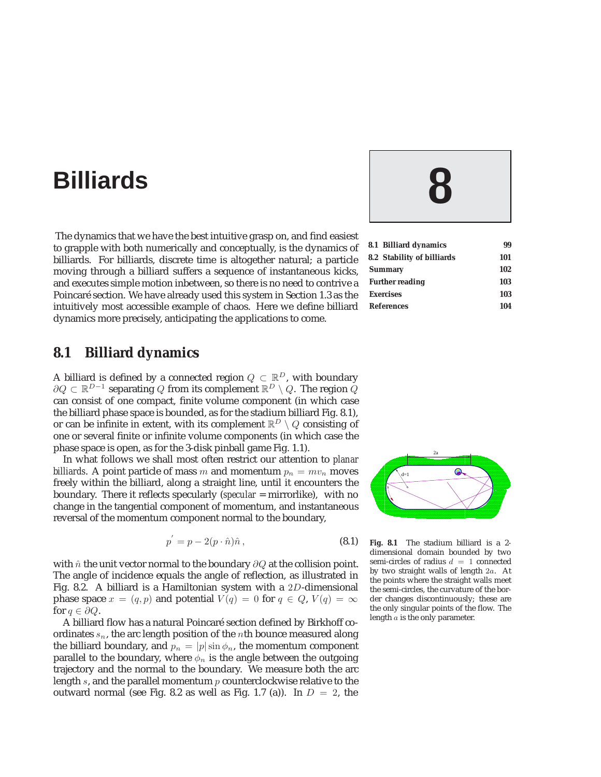# **Billiards 8**

The dynamics that we have the best intuitive grasp on, and find easiest to grapple with both numerically and conceptually, is the dynamics of billiards. For billiards, discrete time is altogether natural; a particle moving through a billiard suffers a sequence of instantaneous kicks, and executes simple motion inbetween, so there is no need to contrive a Poincaré section. We have already used this system in Section 1.3 as the intuitively most accessible example of chaos. Here we define billiard dynamics more precisely, anticipating the applications to come.

## **8.1 Billiard dynamics**

A billiard is defined by a connected region  $Q \subset \mathbb{R}^D$ , with boundary  $\partial Q \subset \mathbb{R}^{D-1}$  separating  $Q$  from its complement  $\mathbb{R}^D \setminus Q$ . The region  $\tilde{Q}$ can consist of one compact, finite volume component (in which case the billiard phase space is bounded, as for the stadium billiard Fig. 8.1), or can be infinite in extent, with its complement  $\mathbb{R}^D \setminus Q$  consisting of one or several finite or infinite volume components (in which case the phase space is open, as for the 3-disk pinball game Fig. 1.1).

In what follows we shall most often restrict our attention to *planar billiards*. A point particle of mass m and momentum  $p_n = mv_n$  moves freely within the billiard, along a straight line, until it encounters the boundary. There it reflects specularly (*specular* = mirrorlike), with no change in the tangential component of momentum, and instantaneous reversal of the momentum component normal to the boundary,

$$
p^{'} = p - 2(p \cdot \hat{n})\hat{n}, \qquad (8.1)
$$

with  $\hat{n}$  the unit vector normal to the boundary  $\partial Q$  at the collision point. The angle of incidence equals the angle of reflection, as illustrated in Fig. 8.2. A billiard is a Hamiltonian system with a 2D-dimensional phase space  $x = (q, p)$  and potential  $V(q) = 0$  for  $q \in Q$ ,  $V(q) = \infty$ for  $q \in \partial Q$ .

A billiard flow has a natural Poincaré section defined by Birkhoff coordinates  $s_n$ , the arc length position of the nth bounce measured along the billiard boundary, and  $p_n = |p| \sin \phi_n$ , the momentum component parallel to the boundary, where  $\phi_n$  is the angle between the outgoing trajectory and the normal to the boundary. We measure both the arc length s, and the parallel momentum  $p$  counterclockwise relative to the outward normal (see Fig. 8.2 as well as Fig. 1.7 (a)). In  $D = 2$ , the



**8.1 Billiard dynamics 99 8.2 Stability of billiards 101 Summary 102** Further reading 103 **Exercises 103 References 104**

**Fig. 8.1** The stadium billiard is a 2 dimensional domain bounded by two semi-circles of radius  $d = 1$  connected by two straight walls of length 2a. At the points where the straight walls meet the semi-circles, the curvature of the border changes discontinuously; these are the only singular points of the flow. The length a is the only parameter.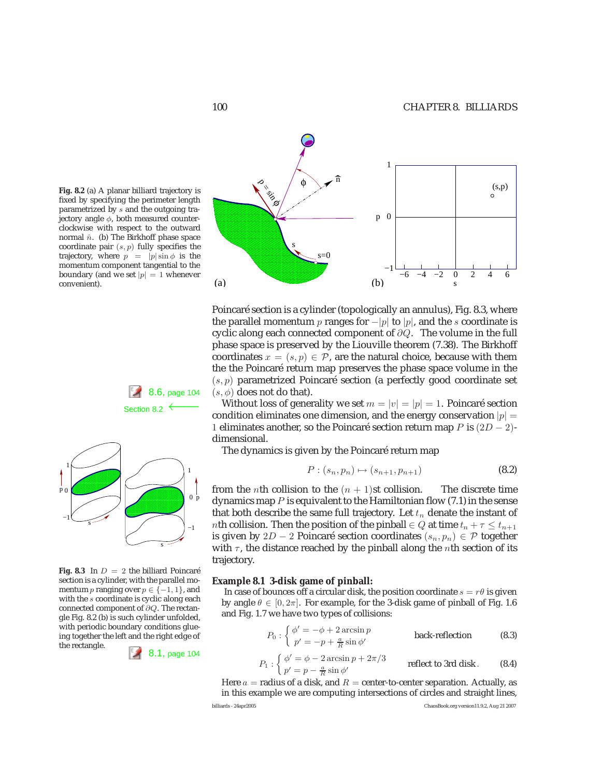**Fig. 8.2** (a) A planar billiard trajectory is fixed by specifying the perimeter length parametrized by s and the outgoing trajectory angle  $\phi$ , both measured counterclockwise with respect to the outward normal  $\hat{n}$ . (b) The Birkhoff phase space coordinate pair  $\left( s,p\right)$  fully specifies the trajectory, where  $p = |p| \sin \phi$  is the momentum component tangential to the boundary (and we set  $|p| = 1$  whenever (a)



**Fig. 8.3** In  $D = 2$  the billiard Poincaré section is a cylinder, with the parallel momentum *p* ranging over  $p \in \{-1, 1\}$ , and with the  $s$  coordinate is cyclic along each connected component of ∂Q. The rectangle Fig. 8.2 (b) is such cylinder unfolded, with periodic boundary conditions glueing together the left and the right edge of the rectangle.

s



s

−1



Poincaré section is a cylinder (topologically an annulus), Fig. 8.3, where the parallel momentum p ranges for  $-|p|$  to  $|p|$ , and the s coordinate is cyclic along each connected component of  $\partial Q$ . The volume in the full phase space is preserved by the Liouville theorem (7.38). The Birkhoff coordinates  $x = (s, p) \in \mathcal{P}$ , are the natural choice, because with them the the Poincaré return map preserves the phase space volume in the  $(s, p)$  parametrized Poincaré section (a perfectly good coordinate set 8.6, page 104  $(s, \phi)$  does not do that).

Section 8.2 ← $\longleftarrow$  Without loss of generality we set  $m = |v| = |p| = 1$ . Poincaré section condition eliminates one dimension, and the energy conservation  $|p| =$ 1 eliminates another, so the Poincaré section return map P is  $(2D - 2)$ dimensional.

The dynamics is given by the Poincaré return map

$$
P: (s_n, p_n) \mapsto (s_{n+1}, p_{n+1}) \tag{8.2}
$$

from the *n*th collision to the  $(n + 1)$ st collision. The discrete time dynamics map  $P$  is equivalent to the Hamiltonian flow (7.1) in the sense that both describe the same full trajectory. Let  $t_n$  denate the instant of *n*th collision. Then the position of the pinball  $\in Q$  at time  $t_n + \tau \leq t_{n+1}$ is given by 2D – 2 Poincaré section coordinates  $(s_n, p_n) \in \mathcal{P}$  together with  $\tau$ , the distance reached by the pinball along the *n*th section of its trajectory.

#### **Example 8.1 3-disk game of pinball:**

In case of bounces off a circular disk, the position coordinate  $s = r\theta$  is given by angle  $\theta \in [0, 2\pi]$ . For example, for the 3-disk game of pinball of Fig. 1.6 and Fig. 1.7 we have two types of collisions:

$$
P_0: \begin{cases} \phi' = -\phi + 2 \arcsin p \\ p' = -p + \frac{a}{R} \sin \phi' \end{cases} \qquad \text{back-reflection} \tag{8.3}
$$

$$
P_1: \begin{cases} \phi' = \phi - 2 \arcsin p + 2\pi/3 \\ p' = p - \frac{a}{R} \sin \phi' \end{cases}
$$
 reflect to 3rd disk. (8.4)

Here  $a =$  radius of a disk, and  $R =$  center-to-center separation. Actually, as<br>in this example we are computing intersections of circles and straight lines in this example we are computing intersections of circles and straight lines, billiards - 24apr2005 ChaosBook.org version11.9.2, Aug 21 2007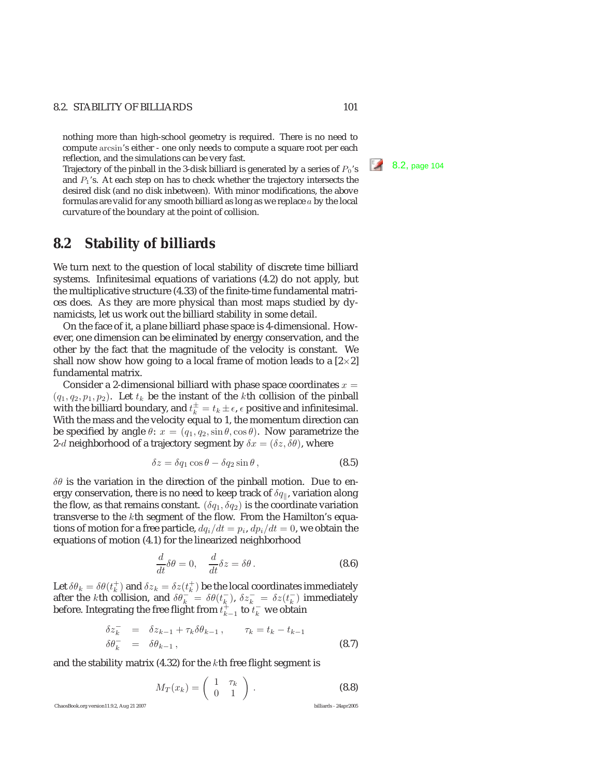#### 8.2. STABILITY OF BILLIARDS 101

nothing more than high-school geometry is required. There is no need to compute arcsin's either - one only needs to compute a square root per each reflection, and the simulations can be very fast.

Trajectory of the pinball in the 3-disk billiard is generated by a series of  $P_0$ 's  $\overline{\phantom{a}}\phantom{a}8.2$ , page 104 and  $P_1$ 's. At each step on has to check whether the trajectory intersects the desired disk (and no disk inbetween). With minor modifications, the above formulas are valid for any smooth billiard as long as we replace  $a$  by the local curvature of the boundary at the point of collision.

## **8.2 Stability of billiards**

We turn next to the question of local stability of discrete time billiard systems. Infinitesimal equations of variations (4.2) do not apply, but the multiplicative structure (4.33) of the finite-time fundamental matrices does. As they are more physical than most maps studied by dynamicists, let us work out the billiard stability in some detail.

On the face of it, a plane billiard phase space is 4-dimensional. However, one dimension can be eliminated by energy conservation, and the other by the fact that the magnitude of the velocity is constant. We shall now show how going to a local frame of motion leads to a  $[2\times2]$ fundamental matrix.

Consider a 2-dimensional billiard with phase space coordinates  $x =$  $(q_1, q_2, p_1, p_2)$ . Let  $t_k$  be the instant of the kth collision of the pinball with the billiard boundary, and  $t_k^{\pm} = t_k \pm \epsilon$ ,  $\epsilon$  positive and infinitesimal. With the mass and the velocity equal to 1, the momentum direction can be specified by angle  $\theta$ :  $x = (q_1, q_2, \sin \theta, \cos \theta)$ . Now parametrize the 2-d neighborhood of a trajectory segment by  $\delta x = (\delta z, \delta \theta)$ , where

$$
\delta z = \delta q_1 \cos \theta - \delta q_2 \sin \theta, \qquad (8.5)
$$

 $\delta\theta$  is the variation in the direction of the pinball motion. Due to energy conservation, there is no need to keep track of  $\delta q_{\parallel}$ , variation along the flow, as that remains constant.  $(\delta q_1, \delta q_2)$  is the coordinate variation transverse to the kth segment of the flow. From the Hamilton's equations of motion for a free particle,  $dq_i/dt = p_i$ ,  $dp_i/dt = 0$ , we obtain the equations of motion (4.1) for the linearized neighborhood

$$
\frac{d}{dt}\delta\theta = 0, \quad \frac{d}{dt}\delta z = \delta\theta.
$$
\n(8.6)

Let  $\delta \theta_k = \delta \theta(t_k^+)$  and  $\delta z_k = \delta z(t_k^+)$  be the local coordinates immediately after the kth collision, and  $\delta \theta_k^- = \delta \theta(t_k^-)$ ,  $\delta z_k^- = \delta z(t_k^-)$  immediately before. Integrating the free flight from  $t_{k-1}^+$  to  $t_k^-$  we obtain

$$
\begin{array}{rcl}\n\delta z_k^- &=& \delta z_{k-1} + \tau_k \delta \theta_{k-1} \,, \qquad \tau_k = t_k - t_{k-1} \\
\delta \theta_k^- &=& \delta \theta_{k-1} \,,\n\end{array} \tag{8.7}
$$

and the stability matrix (4.32) for the kth free flight segment is

$$
M_T(x_k) = \left(\begin{array}{cc} 1 & \tau_k \\ 0 & 1 \end{array}\right) \tag{8.8}
$$

ChaosBook.org version11.9.2, Aug 21 2007 billiards - 24apr2005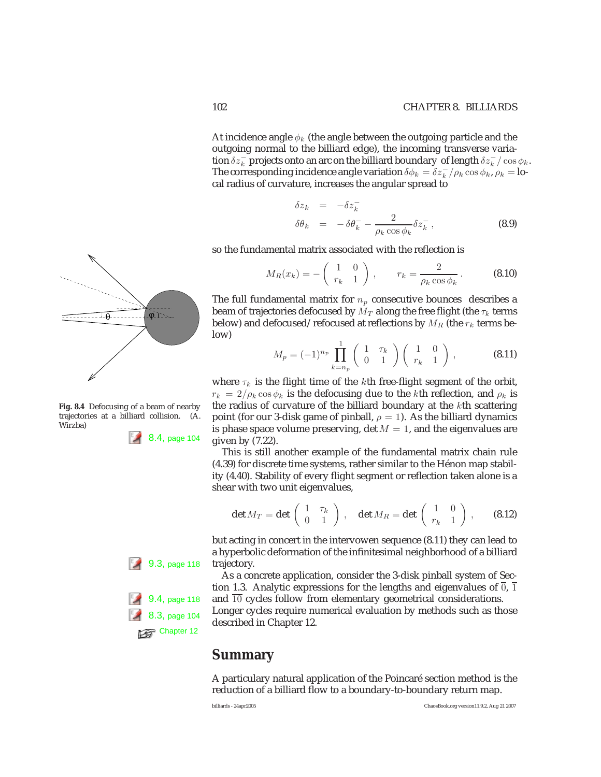At incidence angle  $\phi_k$  (the angle between the outgoing particle and the outgoing normal to the billiard edge), the incoming transverse variation  $\delta z_k^-$  projects onto an arc on the billiard boundary of length  $\delta z_k^-/\cos\phi_k.$ The corresponding incidence angle variation  $\delta \phi_k = \delta z_k^-/\rho_k \cos \phi_k$ ,  $\rho_k =$ local radius of curvature, increases the angular spread to

$$
\delta z_k = -\delta z_k^- \n\delta \theta_k = -\delta \theta_k^- - \frac{2}{\rho_k \cos \phi_k} \delta z_k^-,
$$
\n(8.9)

so the fundamental matrix associated with the reflection is

$$
M_R(x_k) = -\begin{pmatrix} 1 & 0 \ r_k & 1 \end{pmatrix}, \qquad r_k = \frac{2}{\rho_k \cos \phi_k}.
$$
 (8.10)

The full fundamental matrix for  $n_p$  consecutive bounces describes a beam of trajectories defocused by  $M_T$  along the free flight (the  $\tau_k$  terms below) and defocused/refocused at reflections by  $M_R$  (the  $r_k$  terms below)

$$
M_p = (-1)^{n_p} \prod_{k=n_p}^{1} \begin{pmatrix} 1 & \tau_k \\ 0 & 1 \end{pmatrix} \begin{pmatrix} 1 & 0 \\ r_k & 1 \end{pmatrix},\tag{8.11}
$$

where  $\tau_k$  is the flight time of the kth free-flight segment of the orbit,  $r_k = 2/\rho_k \cos \phi_k$  is the defocusing due to the kth reflection, and  $\rho_k$  is the radius of curvature of the billiard boundary at the  $k$ th scattering point (for our 3-disk game of pinball,  $\rho = 1$ ). As the billiard dynamics is phase space volume preserving, det  $M = 1$ , and the eigenvalues are given by (7.22).

This is still another example of the fundamental matrix chain rule  $(4.39)$  for discrete time systems, rather similar to the Hénon map stability (4.40). Stability of every flight segment or reflection taken alone is a shear with two unit eigenvalues,

$$
\det M_T = \det \left( \begin{array}{cc} 1 & \tau_k \\ 0 & 1 \end{array} \right) \,, \quad \det M_R = \det \left( \begin{array}{cc} 1 & 0 \\ r_k & 1 \end{array} \right) \,, \tag{8.12}
$$

but acting in concert in the intervowen sequence (8.11) they can lead to a hyperbolic deformation of the infinitesimal neighborhood of a billiard  $\blacksquare$  9.3, page 118 trajectory.

As a concrete application, consider the 3-disk pinball system of Section 1.3. Analytic expressions for the lengths and eigenvalues of  $\overline{0}$ ,  $\overline{1}$ 9.4, page 118 and  $\overline{10}$  cycles follow from elementary geometrical considerations.

8.3, page 104 Longer cycles require numerical evaluation by methods such as those described in Chapter 12.

#### **Summary**

A particulary natural application of the Poincaré section method is the reduction of a billiard flow to a boundary-to-boundary return map.



**Fig. 8.4** Defocusing of a beam of nearby trajectories at a billiard collision. (A. Wirzba)

8.4, page 104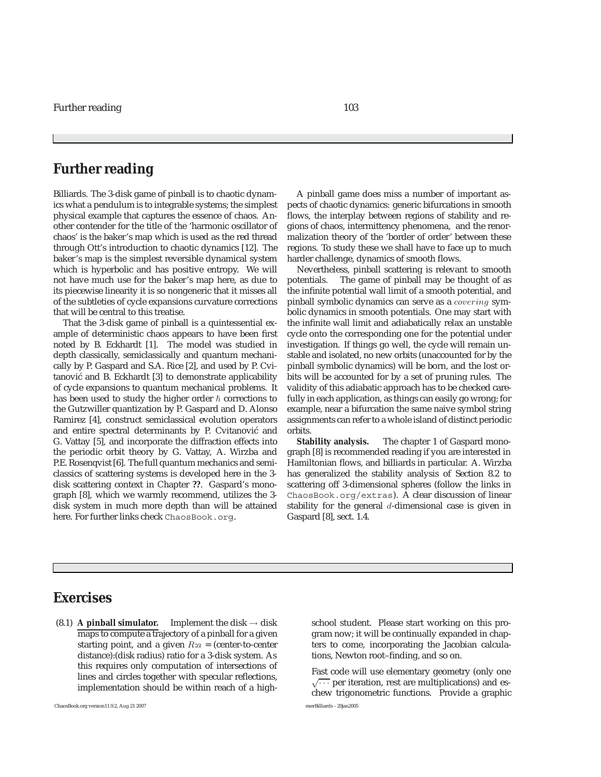# **Further reading**

Billiards. The 3-disk game of pinball is to chaotic dynamics what a pendulum is to integrable systems; the simplest physical example that captures the essence of chaos. Another contender for the title of the 'harmonic oscillator of chaos' is the baker's map which is used as the red thread through Ott's introduction to chaotic dynamics [12]. The baker's map is the simplest reversible dynamical system which is hyperbolic and has positive entropy. We will not have much use for the baker's map here, as due to its piecewise linearity it is so nongeneric that it misses all of the subtleties of cycle expansions curvature corrections that will be central to this treatise.

That the 3-disk game of pinball is a quintessential example of deterministic chaos appears to have been first noted by B. Eckhardt [1]. The model was studied in depth classically, semiclassically and quantum mechanically by P. Gaspard and S.A. Rice [2], and used by P. Cvitanović and B. Eckhardt [3] to demonstrate applicability of cycle expansions to quantum mechanical problems. It has been used to study the higher order  $\hbar$  corrections to the Gutzwiller quantization by P. Gaspard and D. Alonso Ramirez [4], construct semiclassical evolution operators and entire spectral determinants by P. Cvitanović and G. Vattay [5], and incorporate the diffraction effects into the periodic orbit theory by G. Vattay, A. Wirzba and P.E. Rosenqvist [6]. The full quantum mechanics and semiclassics of scattering systems is developed here in the 3 disk scattering context in Chapter **??**. Gaspard's monograph [8], which we warmly recommend, utilizes the 3 disk system in much more depth than will be attained here. For further links check ChaosBook.org.

A pinball game does miss a number of important aspects of chaotic dynamics: generic bifurcations in smooth flows, the interplay between regions of stability and regions of chaos, intermittency phenomena, and the renormalization theory of the 'border of order' between these regions. To study these we shall have to face up to much harder challenge, dynamics of smooth flows.

Nevertheless, pinball scattering is relevant to smooth potentials. The game of pinball may be thought of as The game of pinball may be thought of as the infinite potential wall limit of a smooth potential, and pinball symbolic dynamics can serve as a covering symbolic dynamics in smooth potentials. One may start with the infinite wall limit and adiabatically relax an unstable cycle onto the corresponding one for the potential under investigation. If things go well, the cycle will remain unstable and isolated, no new orbits (unaccounted for by the pinball symbolic dynamics) will be born, and the lost orbits will be accounted for by a set of pruning rules. The validity of this adiabatic approach has to be checked carefully in each application, as things can easily go wrong; for example, near a bifurcation the same naive symbol string assignments can refer to a whole island of distinct periodic orbits.

**Stability analysis.** The chapter 1 of Gaspard monograph [8] is recommended reading if you are interested in Hamiltonian flows, and billiards in particular. A. Wirzba has generalized the stability analysis of Section 8.2 to scattering off 3-dimensional spheres (follow the links in ChaosBook.org/extras). A clear discussion of linear stability for the general  $d$ -dimensional case is given in Gaspard [8], sect. 1.4.

## **Exercises**

(8.1) **A pinball simulator.** Implement the disk  $\rightarrow$  disk maps to compute a trajectory of a pinball for a given starting point, and a given  $R: a = (center-to-center$ distance):(disk radius) ratio for a 3-disk system. As this requires only computation of intersections of lines and circles together with specular reflections, implementation should be within reach of a high-

school student. Please start working on this program now; it will be continually expanded in chapters to come, incorporating the Jacobian calculations, Newton root–finding, and so on.

Fast code will use elementary geometry (only one  $\sqrt{\cdots}$  per iteration, rest are multiplications) and eschew trigonometric functions. Provide a graphic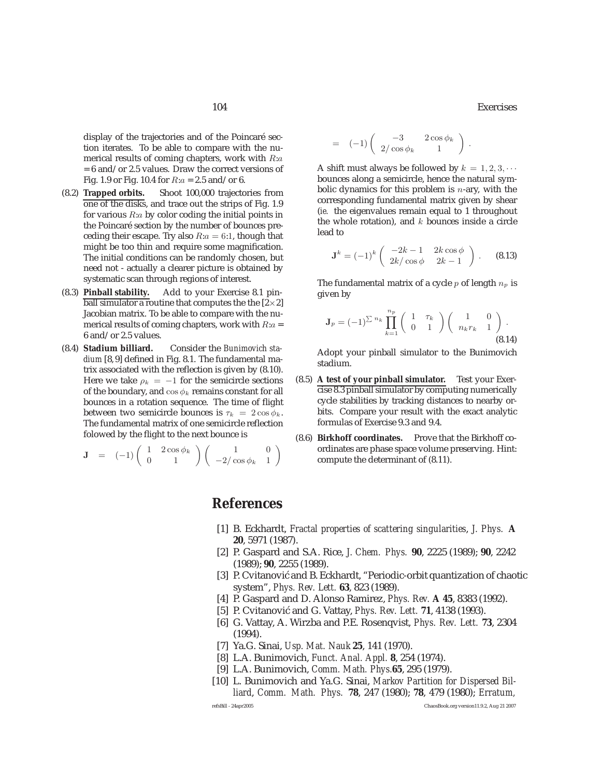104 Exercises

display of the trajectories and of the Poincaré section iterates. To be able to compare with the numerical results of coming chapters, work with R:a  $= 6$  and/or 2.5 values. Draw the correct versions of Fig. 1.9 or Fig. 10.4 for  $R: a = 2.5$  and/or 6.

- (8.2) **Trapped orbits.** Shoot 100,000 trajectories from one of the disks, and trace out the strips of Fig. 1.9 for various  $R:a$  by color coding the initial points in the Poincaré section by the number of bounces preceding their escape. Try also  $R: a = 6:1$ , though that might be too thin and require some magnification. The initial conditions can be randomly chosen, but need not - actually a clearer picture is obtained by systematic scan through regions of interest.
- (8.3) **Pinball stability.** Add to your Exercise 8.1 pinball simulator a routine that computes the the  $[2\times2]$ Jacobian matrix. To be able to compare with the numerical results of coming chapters, work with  $R:a =$ 6 and/or 2.5 values.
- (8.4) **Stadium billiard.** Consider the *Bunimovich stadium* [8, 9] defined in Fig. 8.1. The fundamental matrix associated with the reflection is given by (8.10). Here we take  $\rho_k = -1$  for the semicircle sections of the boundary, and  $\cos \phi_k$  remains constant for all bounces in a rotation sequence. The time of flight between two semicircle bounces is  $\tau_k = 2 \cos \phi_k$ . The fundamental matrix of one semicircle reflection folowed by the flight to the next bounce is

$$
\mathbf{J} = (-1) \begin{pmatrix} 1 & 2\cos\phi_k \\ 0 & 1 \end{pmatrix} \begin{pmatrix} 1 & 0 \\ -2/\cos\phi_k & 1 \end{pmatrix}
$$

$$
= (-1) \begin{pmatrix} -3 & 2 \cos \phi_k \\ 2/\cos \phi_k & 1 \end{pmatrix}.
$$

A shift must always be followed by  $k = 1, 2, 3, \cdots$ bounces along a semicircle, hence the natural symbolic dynamics for this problem is  $n$ -ary, with the corresponding fundamental matrix given by shear (*ie.* the eigenvalues remain equal to 1 throughout the whole rotation), and  $k$  bounces inside a circle lead to

$$
\mathbf{J}^{k} = (-1)^{k} \begin{pmatrix} -2k - 1 & 2k \cos \phi \\ 2k/\cos \phi & 2k - 1 \end{pmatrix} .
$$
 (8.13)

The fundamental matrix of a cycle  $p$  of length  $n_p$  is given by

$$
\mathbf{J}_p = (-1)^{\sum n_k} \prod_{k=1}^{n_p} \begin{pmatrix} 1 & \tau_k \\ 0 & 1 \end{pmatrix} \begin{pmatrix} 1 & 0 \\ n_k r_k & 1 \end{pmatrix} . \tag{8.14}
$$

Adopt your pinball simulator to the Bunimovich stadium.

- (8.5) **A test of your pinball simulator.** Test your Exercise 8.3 pinball simulator by computing numerically cycle stabilities by tracking distances to nearby orbits. Compare your result with the exact analytic formulas of Exercise 9.3 and 9.4.
- (8.6) **Birkhoff coordinates.** Prove that the Birkhoff coordinates are phase space volume preserving. Hint: compute the determinant of (8.11).

## **References**

- [1] B. Eckhardt, *Fractal properties of scattering singularities*, *J. Phys.* **A 20**, 5971 (1987).
- [2] P. Gaspard and S.A. Rice, *J. Chem. Phys.* **90**, 2225 (1989); **90**, 2242 (1989); **90**, 2255 (1989).
- [3] P. Cvitanović and B. Eckhardt, "Periodic-orbit quantization of chaotic system", *Phys. Rev. Lett.* **63**, 823 (1989).
- [4] P. Gaspard and D. Alonso Ramirez, *Phys. Rev.* **A 45**, 8383 (1992).
- [5] P. Cvitanović and G. Vattay, *Phys. Rev. Lett.* **71**, 4138 (1993).
- [6] G. Vattay, A. Wirzba and P.E. Rosenqvist, *Phys. Rev. Lett.* **73**, 2304 (1994).
- [7] Ya.G. Sinai, *Usp. Mat. Nauk* **25**, 141 (1970).
- [8] L.A. Bunimovich, *Funct. Anal. Appl.* **8**, 254 (1974).
- [9] L.A. Bunimovich, *Comm. Math. Phys.***65**, 295 (1979).
- [10] L. Bunimovich and Ya.G. Sinai, *Markov Partition for Dispersed Billiard*, *Comm. Math. Phys.* **78**, 247 (1980); **78**, 479 (1980); *Erratum,*